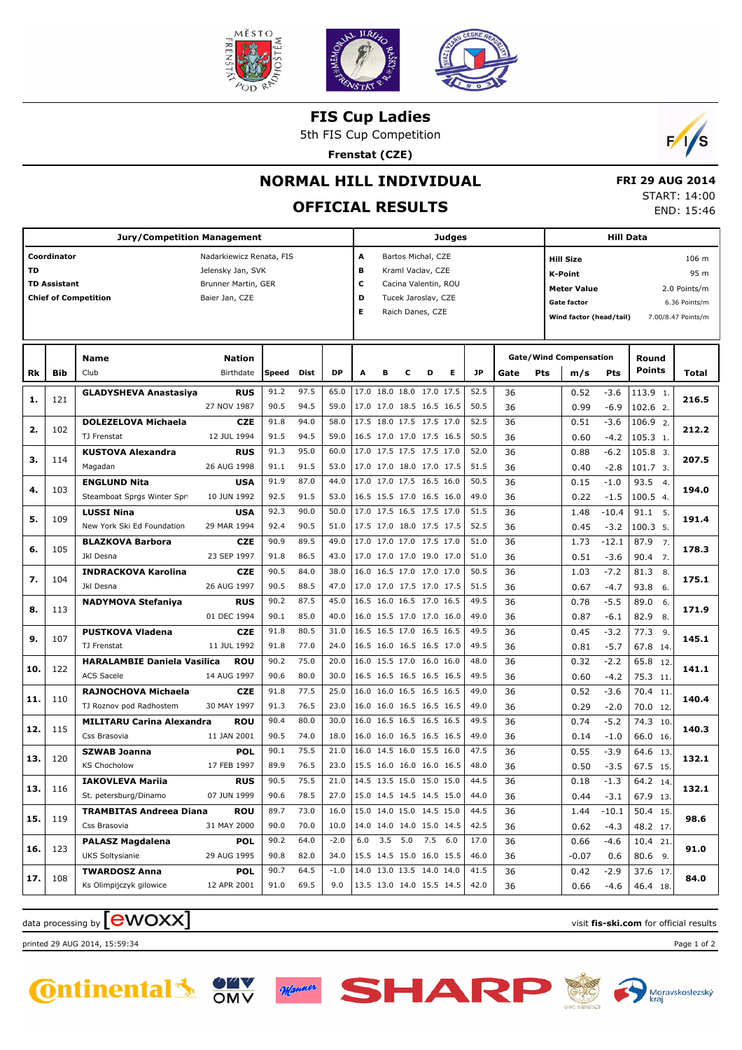

**FIS Cup Ladies**

5th FIS Cup Competition

**Frenstat (CZE)**



## **NORMAL HILL INDIVIDUAL**

# **OFFICIAL RESULTS**

|  | <b>FRI 29 AUG 2014</b> |  |
|--|------------------------|--|
|  | START: 14:00           |  |
|  | END: 15:46             |  |

|     | <b>Jury/Competition Management</b> |                                                       |                                                                      |              |              |                | Judges      |                                                      |   |                                                                 |   |              | <b>Hill Data</b> |                                                                                           |                                      |                   |                                      |               |
|-----|------------------------------------|-------------------------------------------------------|----------------------------------------------------------------------|--------------|--------------|----------------|-------------|------------------------------------------------------|---|-----------------------------------------------------------------|---|--------------|------------------|-------------------------------------------------------------------------------------------|--------------------------------------|-------------------|--------------------------------------|---------------|
| TD  | Coordinator<br><b>TD Assistant</b> |                                                       | Nadarkiewicz Renata, FIS<br>Jelensky Jan, SVK<br>Brunner Martin, GER |              |              |                | А<br>в<br>с |                                                      |   | Bartos Michal, CZE<br>Kraml Vaclav, CZE<br>Cacina Valentin, ROU |   |              |                  | <b>Hill Size</b><br>K-Point                                                               |                                      |                   |                                      | 106 m<br>95 m |
|     |                                    | <b>Chief of Competition</b>                           | Baier Jan, CZE                                                       |              |              |                | D<br>Е      |                                                      |   | Tucek Jaroslav, CZE<br>Raich Danes, CZE                         |   |              |                  | <b>Meter Value</b><br><b>Gate factor</b><br>Wind factor (head/tail)<br>7.00/8.47 Points/m |                                      |                   | 2.0 Points/m<br>6.36 Points/m        |               |
| Rk  | Bib                                | Name<br>Club                                          | <b>Nation</b><br>Birthdate                                           | Speed        | Dist         | DP             | A           | в                                                    | c | D                                                               | Е | <b>JP</b>    | Gate             | Pts                                                                                       | <b>Gate/Wind Compensation</b><br>m/s | Pts               | Round<br><b>Points</b>               | Total         |
| 1.  | 121                                | <b>GLADYSHEVA Anastasiya</b>                          | <b>RUS</b><br>27 NOV 1987                                            | 91.2<br>90.5 | 97.5<br>94.5 | 65.0<br>59.0   |             | 17.0 18.0 18.0 17.0 17.5<br>17.0 17.0 18.5 16.5 16.5 |   |                                                                 |   | 52.5<br>50.5 | 36<br>36         |                                                                                           | 0.52<br>0.99                         | $-3.6$<br>$-6.9$  | 113.9 1.<br>102.6 2.                 | 216.5         |
| 2.  | 102                                | <b>DOLEZELOVA Michaela</b>                            | <b>CZE</b>                                                           | 91.8         | 94.0         | 58.0           |             | 17.5 18.0 17.5 17.5 17.0                             |   |                                                                 |   | 52.5         | 36               |                                                                                           | 0.51                                 | $-3.6$            | 106.9 2.                             | 212.2         |
| з.  | 114                                | TJ Frenstat<br><b>KUSTOVA Alexandra</b>               | 12 JUL 1994<br><b>RUS</b>                                            | 91.5<br>91.3 | 94.5<br>95.0 | 59.0<br>60.0   |             | 16.5 17.0 17.0 17.5 16.5<br>17.0 17.5 17.5 17.5 17.0 |   |                                                                 |   | 50.5<br>52.0 | 36<br>36         |                                                                                           | 0.60<br>0.88                         | $-4.2$<br>$-6.2$  | 105.3 1.<br>105.8 3.                 | 207.5         |
| 4.  | 103                                | Magadan<br><b>ENGLUND Nita</b>                        | 26 AUG 1998<br><b>USA</b>                                            | 91.1<br>91.9 | 91.5<br>87.0 | 53.0<br>44.0   |             | 17.0 17.0 18.0 17.0 17.5<br>17.0 17.0 17.5 16.5 16.0 |   |                                                                 |   | 51.5<br>50.5 | 36<br>36         |                                                                                           | 0.40<br>0.15                         | $-2.8$<br>$-1.0$  | 101.7 3.<br>93.5<br>$\overline{4}$   | 194.0         |
| 5.  | 109                                | Steamboat Sprgs Winter Spr<br><b>LUSSI Nina</b>       | 10 JUN 1992<br><b>USA</b>                                            | 92.5<br>92.3 | 91.5<br>90.0 | 53.0<br>50.0   |             | 16.5 15.5 17.0 16.5 16.0<br>17.0 17.5 16.5 17.5 17.0 |   |                                                                 |   | 49.0<br>51.5 | 36<br>36         |                                                                                           | 0.22<br>1.48                         | $-1.5$<br>$-10.4$ | 100.5 4.<br>91.1 5.                  | 191.4         |
| 6.  | 105                                | New York Ski Ed Foundation<br><b>BLAZKOVA Barbora</b> | 29 MAR 1994<br><b>CZE</b>                                            | 92.4<br>90.9 | 90.5<br>89.5 | 51.0<br>49.0   |             | 17.5 17.0 18.0 17.5 17.5<br>17.0 17.0 17.0 17.5 17.0 |   |                                                                 |   | 52.5<br>51.0 | 36<br>36         |                                                                                           | 0.45<br>1.73                         | $-3.2$<br>$-12.1$ | 100.3 5.<br>87.9<br>$\overline{7}$ . | 178.3         |
|     | 104                                | Jkl Desna<br><b>INDRACKOVA Karolina</b>               | 23 SEP 1997<br><b>CZE</b>                                            | 91.8<br>90.5 | 86.5<br>84.0 | 43.0<br>38.0   |             | 17.0 17.0 17.0 19.0 17.0<br>16.0 16.5 17.0 17.0 17.0 |   |                                                                 |   | 51.0<br>50.5 | 36<br>36         |                                                                                           | 0.51<br>1.03                         | $-3.6$<br>$-7.2$  | 90.4 7.<br>81.3<br>8.                |               |
| 7.  |                                    | Jkl Desna<br><b>NADYMOVA Stefaniya</b>                | 26 AUG 1997<br><b>RUS</b>                                            | 90.5<br>90.2 | 88.5<br>87.5 | 47.0<br>45.0   |             | 17.0 17.0 17.5 17.0 17.5<br>16.5 16.0 16.5 17.0 16.5 |   |                                                                 |   | 51.5<br>49.5 | 36<br>36         |                                                                                           | 0.67<br>0.78                         | $-4.7$<br>$-5.5$  | 93.8<br>6.<br>89.0<br>6.             | 175.1         |
| 8.  | 113                                | <b>PUSTKOVA Vladena</b>                               | 01 DEC 1994<br><b>CZE</b>                                            | 90.1<br>91.8 | 85.0<br>80.5 | 40.0<br>31.0   |             | 16.0 15.5 17.0 17.0 16.0<br>16.5 16.5 17.0 16.5 16.5 |   |                                                                 |   | 49.0<br>49.5 | 36<br>36         |                                                                                           | 0.87<br>0.45                         | $-6.1$<br>$-3.2$  | 82.9<br>8.<br>77.3<br>9.             | 171.9         |
| 9.  | 107                                | TJ Frenstat<br><b>HARALAMBIE Daniela Vasilica</b>     | 11 JUL 1992<br><b>ROU</b>                                            | 91.8<br>90.2 | 77.0<br>75.0 | 24.0<br>20.0   |             | 16.5 16.0 16.5 16.5 17.0<br>16.0 15.5 17.0 16.0 16.0 |   |                                                                 |   | 49.5<br>48.0 | 36<br>36         |                                                                                           | 0.81<br>0.32                         | $-5.7$<br>$-2.2$  | 67.8 14.<br>65.8 12.                 | 145.1         |
| 10. | 122                                | <b>ACS Sacele</b>                                     | 14 AUG 1997                                                          | 90.6         | 80.0         | 30.0           |             | 16.5 16.5 16.5 16.5 16.5                             |   |                                                                 |   | 49.5         | 36               |                                                                                           | 0.60                                 | $-4.2$            | 75.3 11                              | 141.1         |
| 11. | 110                                | RAJNOCHOVA Michaela<br>TJ Roznov pod Radhostem        | <b>CZE</b><br>30 MAY 1997                                            | 91.8<br>91.3 | 77.5<br>76.5 | 25.0<br>23.0   |             | 16.0 16.0 16.5 16.5 16.5<br>16.0 16.0 16.5 16.5 16.5 |   |                                                                 |   | 49.0<br>49.0 | 36<br>36         |                                                                                           | 0.52<br>0.29                         | $-3.6$<br>$-2.0$  | 70.4 11.<br>70.0 12.                 | 140.4         |
| 12. | 115                                | <b>MILITARU Carina Alexandra</b><br>Css Brasovia      | ROU<br>11 JAN 2001                                                   | 90.4<br>90.5 | 80.0<br>74.0 | 30.0<br>18.0   |             | 16.0 16.5 16.5 16.5 16.5<br>16.0 16.0 16.5 16.5 16.5 |   |                                                                 |   | 49.5<br>49.0 | 36<br>36         |                                                                                           | 0.74<br>0.14                         | $-5.2$<br>$-1.0$  | 74.3 10.<br>66.0 16.                 | 140.3         |
| 13. | 120                                | <b>SZWAB Joanna</b><br><b>KS Chocholow</b>            | <b>POL</b><br>17 FEB 1997                                            | 90.1<br>89.9 | 75.5<br>76.5 | 21.0<br>23.0   |             | 16.0 14.5 16.0 15.5 16.0<br>15.5 16.0 16.0 16.0 16.5 |   |                                                                 |   | 47.5<br>48.0 | 36<br>36         |                                                                                           | 0.55<br>0.50                         | $-3.9$<br>$-3.5$  | 64.6 13.<br>67.5 15.                 | 132.1         |
| 13. | 116                                | <b>IAKOVLEVA Mariia</b><br>St. petersburg/Dinamo      | <b>RUS</b><br>07 JUN 1999                                            | 90.5<br>90.6 | 75.5<br>78.5 | 21.0<br>27.0   |             | 14.5 13.5 15.0 15.0 15.0<br>15.0 14.5 14.5 14.5 15.0 |   |                                                                 |   | 44.5<br>44.0 | 36<br>36         |                                                                                           | 0.18<br>0.44                         | $-1.3$<br>$-3.1$  | 64.2 14.<br>67.9 13.                 | 132.1         |
| 15. | 119                                | <b>TRAMBITAS Andreea Diana</b><br>Css Brasovia        | ROU<br>31 MAY 2000                                                   | 89.7<br>90.0 | 73.0<br>70.0 | 16.0<br>10.0   |             | 15.0 14.0 15.0 14.5 15.0<br>14.0 14.0 14.0 15.0 14.5 |   |                                                                 |   | 44.5<br>42.5 | 36<br>36         |                                                                                           | 1.44<br>0.62                         | $-10.1$<br>$-4.3$ | 50.4 15.<br>48.2 17.                 | 98.6          |
| 16. | 123                                | <b>PALASZ Magdalena</b><br>UKS Soltysianie            | <b>POL</b><br>29 AUG 1995                                            | 90.2<br>90.8 | 64.0<br>82.0 | $-2.0$<br>34.0 | 6.0         | 3.5 5.0 7.5 6.0<br>15.5 14.5 15.0 16.0 15.5          |   |                                                                 |   | 17.0<br>46.0 | 36<br>36         |                                                                                           | 0.66<br>$-0.07$                      | $-4.6$<br>0.6     | 10.4 21.<br>80.6 9.                  | 91.0          |
| 17. | 108                                | <b>TWARDOSZ Anna</b><br>Ks Olimpijczyk gilowice       | <b>POL</b><br>12 APR 2001                                            | 90.7<br>91.0 | 64.5<br>69.5 | $-1.0$<br>9.0  |             | 14.0 13.0 13.5 14.0 14.0<br>13.5 13.0 14.0 15.5 14.5 |   |                                                                 |   | 41.5<br>42.0 | 36<br>36         |                                                                                           | 0.42<br>0.66                         | $-2.9$<br>-4.6    | 37.6 17.<br>46.4 18.                 | 84.0          |

## $\frac{1}{2}$  data processing by  $\boxed{\text{ewOX}}$

printed 29 AUG 2014, 15:59:34 Page 1 of 2